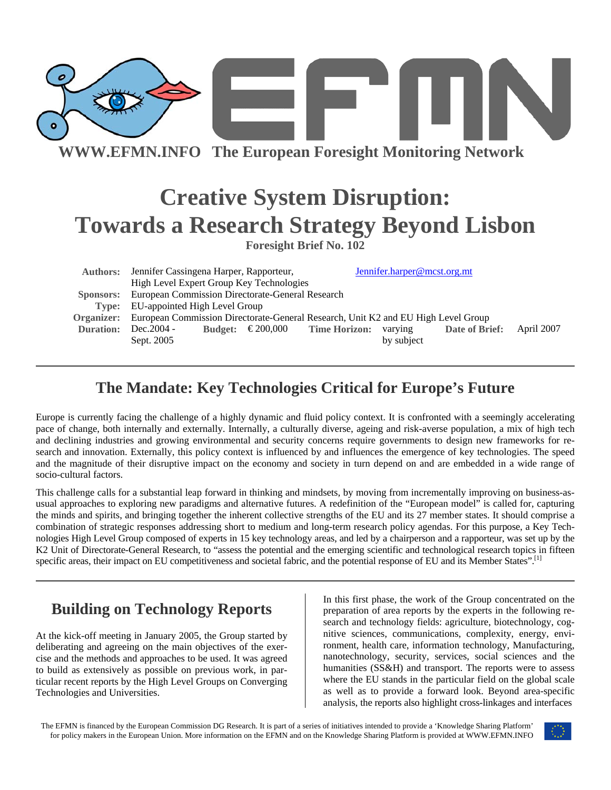

**WWW.EFMN.INFO The European Foresight Monitoring Network**

# **Creative System Disruption: Towards a Research Strategy Beyond Lisbon**

**Foresight Brief No. 102** 

|                  | Authors: Jennifer Cassingena Harper, Rapporteur,                                             |  |                                          | Jennifer.harper@mcst.org.mt |                |            |
|------------------|----------------------------------------------------------------------------------------------|--|------------------------------------------|-----------------------------|----------------|------------|
|                  | High Level Expert Group Key Technologies                                                     |  |                                          |                             |                |            |
| Sponsors:        | <b>European Commission Directorate-General Research</b>                                      |  |                                          |                             |                |            |
|                  | <b>Type:</b> EU-appointed High Level Group                                                   |  |                                          |                             |                |            |
|                  | Organizer: European Commission Directorate-General Research, Unit K2 and EU High Level Group |  |                                          |                             |                |            |
| <b>Duration:</b> | Dec. 2004 -                                                                                  |  | Budget: $\epsilon$ 200,000 Time Horizon: | varying                     | Date of Brief: | April 2007 |
|                  | Sept. 2005                                                                                   |  |                                          | by subject                  |                |            |

# **The Mandate: Key Technologies Critical for Europe's Future**

Europe is currently facing the challenge of a highly dynamic and fluid policy context. It is confronted with a seemingly accelerating pace of change, both internally and externally. Internally, a culturally diverse, ageing and risk-averse population, a mix of high tech and declining industries and growing environmental and security concerns require governments to design new frameworks for research and innovation. Externally, this policy context is influenced by and influences the emergence of key technologies. The speed and the magnitude of their disruptive impact on the economy and society in turn depend on and are embedded in a wide range of socio-cultural factors.

This challenge calls for a substantial leap forward in thinking and mindsets, by moving from incrementally improving on business-asusual approaches to exploring new paradigms and alternative futures. A redefinition of the "European model" is called for, capturing the minds and spirits, and bringing together the inherent collective strengths of the EU and its 27 member states. It should comprise a combination of strategic responses addressing short to medium and long-term research policy agendas. For this purpose, a Key Technologies High Level Group composed of experts in 15 key technology areas, and led by a chairperson and a rapporteur, was set up by the K2 Unit of Directorate-General Research, to "assess the potential and the emerging scientific and technological research topics in fifteen specific areas, their impact on EU competitiveness and societal fabric, and the potential response of EU and its Member States".<sup>[1]</sup>

# **Building on Technology Reports**

At the kick-off meeting in January 2005, the Group started by deliberating and agreeing on the main objectives of the exercise and the methods and approaches to be used. It was agreed to build as extensively as possible on previous work, in particular recent reports by the High Level Groups on Converging Technologies and Universities.

In this first phase, the work of the Group concentrated on the preparation of area reports by the experts in the following research and technology fields: agriculture, biotechnology, cognitive sciences, communications, complexity, energy, environment, health care, information technology, Manufacturing, nanotechnology, security, services, social sciences and the humanities (SS&H) and transport. The reports were to assess where the EU stands in the particular field on the global scale as well as to provide a forward look. Beyond area-specific analysis, the reports also highlight cross-linkages and interfaces

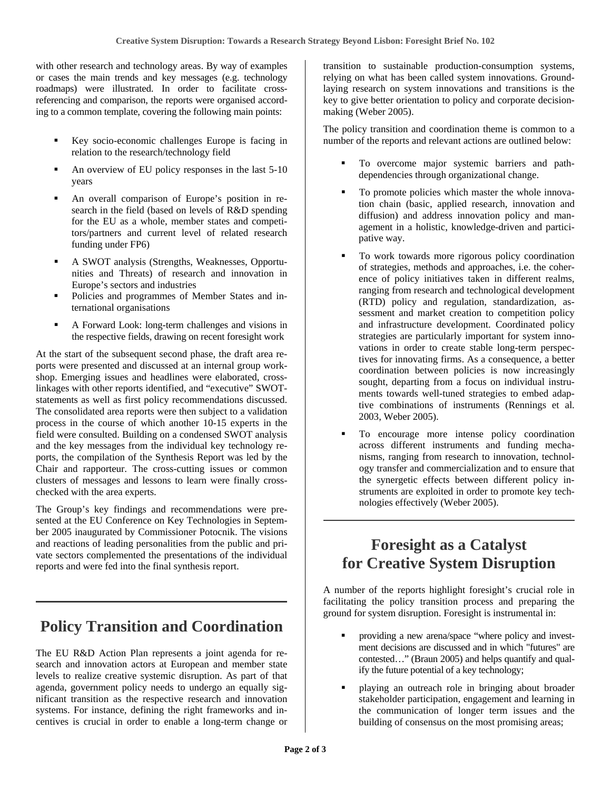with other research and technology areas. By way of examples or cases the main trends and key messages (e.g. technology roadmaps) were illustrated. In order to facilitate crossreferencing and comparison, the reports were organised according to a common template, covering the following main points:

- Key socio-economic challenges Europe is facing in relation to the research/technology field
- An overview of EU policy responses in the last 5-10 years
- An overall comparison of Europe's position in research in the field (based on levels of R&D spending for the EU as a whole, member states and competitors/partners and current level of related research funding under FP6)
- A SWOT analysis (Strengths, Weaknesses, Opportunities and Threats) of research and innovation in Europe's sectors and industries
- Policies and programmes of Member States and international organisations
- A Forward Look: long-term challenges and visions in the respective fields, drawing on recent foresight work

At the start of the subsequent second phase, the draft area reports were presented and discussed at an internal group workshop. Emerging issues and headlines were elaborated, crosslinkages with other reports identified, and "executive" SWOTstatements as well as first policy recommendations discussed. The consolidated area reports were then subject to a validation process in the course of which another 10-15 experts in the field were consulted. Building on a condensed SWOT analysis and the key messages from the individual key technology reports, the compilation of the Synthesis Report was led by the Chair and rapporteur. The cross-cutting issues or common clusters of messages and lessons to learn were finally crosschecked with the area experts.

The Group's key findings and recommendations were presented at the EU Conference on Key Technologies in September 2005 inaugurated by Commissioner Potocnik. The visions and reactions of leading personalities from the public and private sectors complemented the presentations of the individual reports and were fed into the final synthesis report.

### **Policy Transition and Coordination**

The EU R&D Action Plan represents a joint agenda for research and innovation actors at European and member state levels to realize creative systemic disruption. As part of that agenda, government policy needs to undergo an equally significant transition as the respective research and innovation systems. For instance, defining the right frameworks and incentives is crucial in order to enable a long-term change or

transition to sustainable production-consumption systems, relying on what has been called system innovations. Groundlaying research on system innovations and transitions is the key to give better orientation to policy and corporate decisionmaking (Weber 2005).

The policy transition and coordination theme is common to a number of the reports and relevant actions are outlined below:

- To overcome major systemic barriers and pathdependencies through organizational change.
- To promote policies which master the whole innovation chain (basic, applied research, innovation and diffusion) and address innovation policy and management in a holistic, knowledge-driven and participative way.
- To work towards more rigorous policy coordination of strategies, methods and approaches, i.e. the coherence of policy initiatives taken in different realms, ranging from research and technological development (RTD) policy and regulation, standardization, assessment and market creation to competition policy and infrastructure development. Coordinated policy strategies are particularly important for system innovations in order to create stable long-term perspectives for innovating firms. As a consequence, a better coordination between policies is now increasingly sought, departing from a focus on individual instruments towards well-tuned strategies to embed adaptive combinations of instruments (Rennings et al. 2003, Weber 2005).
- To encourage more intense policy coordination across different instruments and funding mechanisms, ranging from research to innovation, technology transfer and commercialization and to ensure that the synergetic effects between different policy instruments are exploited in order to promote key technologies effectively (Weber 2005).

### **Foresight as a Catalyst for Creative System Disruption**

A number of the reports highlight foresight's crucial role in facilitating the policy transition process and preparing the ground for system disruption. Foresight is instrumental in:

- providing a new arena/space "where policy and investment decisions are discussed and in which "futures" are contested…" (Braun 2005) and helps quantify and qualify the future potential of a key technology;
- playing an outreach role in bringing about broader stakeholder participation, engagement and learning in the communication of longer term issues and the building of consensus on the most promising areas;